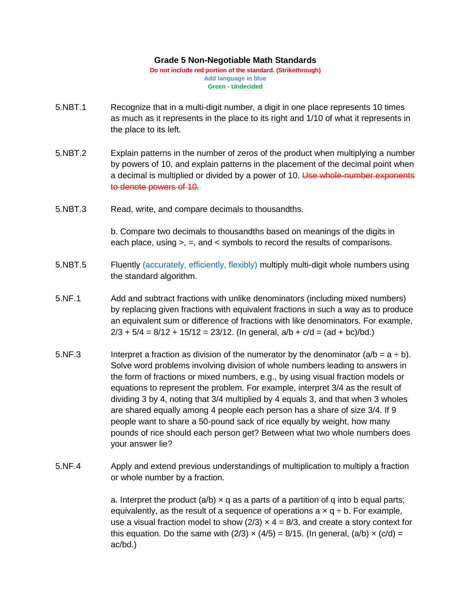## **Grade 5 Non-Negotiable Math Standards**

**Do not include red portion of the standard. (Strikethrough) Add language in blue Green - Undecided**

- 5.NBT.1 Recognize that in a multi-digit number, a digit in one place represents 10 times as much as it represents in the place to its right and 1/10 of what it represents in the place to its left.
- 5.NBT.2 Explain patterns in the number of zeros of the product when multiplying a number by powers of 10, and explain patterns in the placement of the decimal point when a decimal is multiplied or divided by a power of 10. Use whole-number exponents to denote powers of 10.
- 5.NBT.3 Read, write, and compare decimals to thousandths.

b. Compare two decimals to thousandths based on meanings of the digits in each place, using >, =, and < symbols to record the results of comparisons.

- 5.NBT.5 Fluently (accurately, efficiently, flexibly) multiply multi-digit whole numbers using the standard algorithm.
- 5.NF.1 Add and subtract fractions with unlike denominators (including mixed numbers) by replacing given fractions with equivalent fractions in such a way as to produce an equivalent sum or difference of fractions with like denominators. For example,  $2/3 + 5/4 = 8/12 + 15/12 = 23/12$ . (In general,  $a/b + c/d = (ad + bc)/bd$ .)
- 5.NF.3 Interpret a fraction as division of the numerator by the denominator  $(a/b = a \div b)$ . Solve word problems involving division of whole numbers leading to answers in the form of fractions or mixed numbers, e.g., by using visual fraction models or equations to represent the problem. For example, interpret 3/4 as the result of dividing 3 by 4, noting that 3/4 multiplied by 4 equals 3, and that when 3 wholes are shared equally among 4 people each person has a share of size 3/4. If 9 people want to share a 50-pound sack of rice equally by weight, how many pounds of rice should each person get? Between what two whole numbers does your answer lie?
- 5.NF.4 Apply and extend previous understandings of multiplication to multiply a fraction or whole number by a fraction.

a. Interpret the product (a/b)  $\times$  q as a parts of a partition of q into b equal parts; equivalently, as the result of a sequence of operations a  $\times$  q  $\div$  b. For example, use a visual fraction model to show  $(2/3) \times 4 = 8/3$ , and create a story context for this equation. Do the same with (2/3)  $\times$  (4/5) = 8/15. (In general, (a/b)  $\times$  (c/d) = ac/bd.)